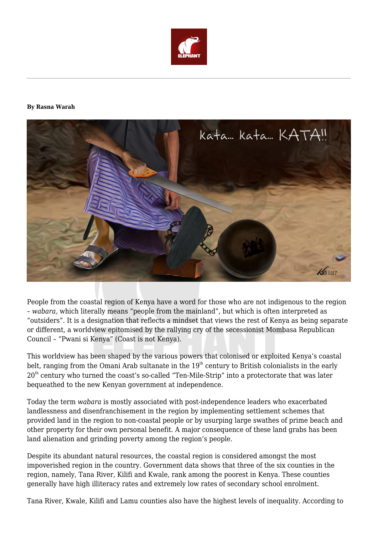

## **By Rasna Warah**



People from the coastal region of Kenya have a word for those who are not indigenous to the region – *wabara,* which literally means "people from the mainland", but which is often interpreted as "outsiders". It is a designation that reflects a mindset that views the rest of Kenya as being separate or different, a worldview epitomised by the rallying cry of the secessionist Mombasa Republican Council – "Pwani si Kenya" (Coast is not Kenya).

This worldview has been shaped by the various powers that colonised or exploited Kenya's coastal belt, ranging from the Omani Arab sultanate in the  $19<sup>th</sup>$  century to British colonialists in the early 20<sup>th</sup> century who turned the coast's so-called "Ten-Mile-Strip" into a protectorate that was later bequeathed to the new Kenyan government at independence.

Today the term *wabara* is mostly associated with post-independence leaders who exacerbated landlessness and disenfranchisement in the region by implementing settlement schemes that provided land in the region to non-coastal people or by usurping large swathes of prime beach and other property for their own personal benefit. A major consequence of these land grabs has been land alienation and grinding poverty among the region's people.

Despite its abundant natural resources, the coastal region is considered amongst the most impoverished region in the country. Government data shows that three of the six counties in the region, namely, Tana River, Kilifi and Kwale, rank among the poorest in Kenya. These counties generally have high illiteracy rates and extremely low rates of secondary school enrolment.

Tana River, Kwale, Kilifi and Lamu counties also have the highest levels of inequality. According to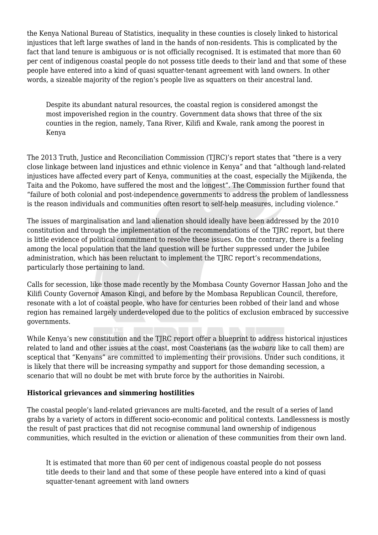the Kenya National Bureau of Statistics, inequality in these counties is closely linked to historical injustices that left large swathes of land in the hands of non-residents. This is complicated by the fact that land tenure is ambiguous or is not officially recognised. It is estimated that more than 60 per cent of indigenous coastal people do not possess title deeds to their land and that some of these people have entered into a kind of quasi squatter-tenant agreement with land owners. In other words, a sizeable majority of the region's people live as squatters on their ancestral land.

Despite its abundant natural resources, the coastal region is considered amongst the most impoverished region in the country. Government data shows that three of the six counties in the region, namely, Tana River, Kilifi and Kwale, rank among the poorest in Kenya

The 2013 Truth, Justice and Reconciliation Commission (TJRC)'s report states that "there is a very close linkage between land injustices and ethnic violence in Kenya" and that "although land-related injustices have affected every part of Kenya, communities at the coast, especially the Mijikenda, the Taita and the Pokomo, have suffered the most and the longest". The Commission further found that "failure of both colonial and post-independence governments to address the problem of landlessness is the reason individuals and communities often resort to self-help measures, including violence."

The issues of marginalisation and land alienation should ideally have been addressed by the 2010 constitution and through the implementation of the recommendations of the TJRC report, but there is little evidence of political commitment to resolve these issues. On the contrary, there is a feeling among the local population that the land question will be further suppressed under the Jubilee administration, which has been reluctant to implement the TJRC report's recommendations, particularly those pertaining to land.

Calls for secession, like those made recently by the Mombasa County Governor Hassan Joho and the Kilifi County Governor Amason Kingi, and before by the Mombasa Republican Council, therefore, resonate with a lot of coastal people, who have for centuries been robbed of their land and whose region has remained largely underdeveloped due to the politics of exclusion embraced by successive governments.

While Kenya's new constitution and the TJRC report offer a blueprint to address historical injustices related to land and other issues at the coast, most Coasterians (as the *wabara* like to call them) are sceptical that "Kenyans" are committed to implementing their provisions. Under such conditions, it is likely that there will be increasing sympathy and support for those demanding secession, a scenario that will no doubt be met with brute force by the authorities in Nairobi.

## **Historical grievances and simmering hostilities**

The coastal people's land-related grievances are multi-faceted, and the result of a series of land grabs by a variety of actors in different socio-economic and political contexts. Landlessness is mostly the result of past practices that did not recognise communal land ownership of indigenous communities, which resulted in the eviction or alienation of these communities from their own land.

It is estimated that more than 60 per cent of indigenous coastal people do not possess title deeds to their land and that some of these people have entered into a kind of quasi squatter-tenant agreement with land owners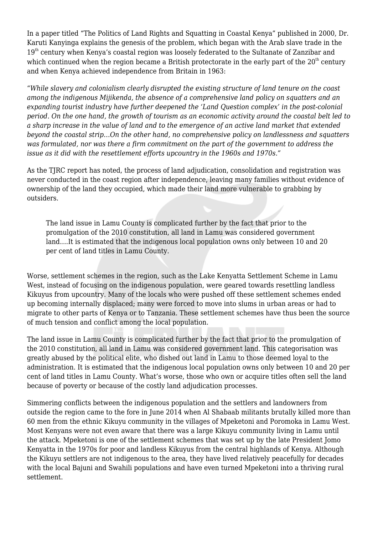In a paper titled "The Politics of Land Rights and Squatting in Coastal Kenya" published in 2000, Dr. Karuti Kanyinga explains the genesis of the problem, which began with the Arab slave trade in the 19<sup>th</sup> century when Kenya's coastal region was loosely federated to the Sultanate of Zanzibar and which continued when the region became a British protectorate in the early part of the  $20<sup>th</sup>$  century and when Kenya achieved independence from Britain in 1963:

"*While slavery and colonialism clearly disrupted the existing structure of land tenure on the coast among the indigenous Mijikenda, the absence of a comprehensive land policy on squatters and an expanding tourist industry have further deepened the 'Land Question complex' in the post-colonial period. On the one hand, the growth of tourism as an economic activity around the coastal belt led to a sharp increase in the value of land and to the emergence of an active land market that extended beyond the coastal strip…On the other hand, no comprehensive policy on landlessness and squatters was formulated, nor was there a firm commitment on the part of the government to address the issue as it did with the resettlement efforts upcountry in the 1960s and 1970s."*

As the TJRC report has noted, the process of land adjudication, consolidation and registration was never conducted in the coast region after independence, leaving many families without evidence of ownership of the land they occupied, which made their land more vulnerable to grabbing by outsiders.

The land issue in Lamu County is complicated further by the fact that prior to the promulgation of the 2010 constitution, all land in Lamu was considered government land....It is estimated that the indigenous local population owns only between 10 and 20 per cent of land titles in Lamu County.

Worse, settlement schemes in the region, such as the Lake Kenyatta Settlement Scheme in Lamu West, instead of focusing on the indigenous population, were geared towards resettling landless Kikuyus from upcountry. Many of the locals who were pushed off these settlement schemes ended up becoming internally displaced; many were forced to move into slums in urban areas or had to migrate to other parts of Kenya or to Tanzania. These settlement schemes have thus been the source of much tension and conflict among the local population.

The land issue in Lamu County is complicated further by the fact that prior to the promulgation of the 2010 constitution, all land in Lamu was considered government land. This categorisation was greatly abused by the political elite, who dished out land in Lamu to those deemed loyal to the administration. It is estimated that the indigenous local population owns only between 10 and 20 per cent of land titles in Lamu County. What's worse, those who own or acquire titles often sell the land because of poverty or because of the costly land adjudication processes.

Simmering conflicts between the indigenous population and the settlers and landowners from outside the region came to the fore in June 2014 when Al Shabaab militants brutally killed more than 60 men from the ethnic Kikuyu community in the villages of Mpeketoni and Poromoka in Lamu West. Most Kenyans were not even aware that there was a large Kikuyu community living in Lamu until the attack. Mpeketoni is one of the settlement schemes that was set up by the late President Jomo Kenyatta in the 1970s for poor and landless Kikuyus from the central highlands of Kenya. Although the Kikuyu settlers are not indigenous to the area, they have lived relatively peacefully for decades with the local Bajuni and Swahili populations and have even turned Mpeketoni into a thriving rural settlement.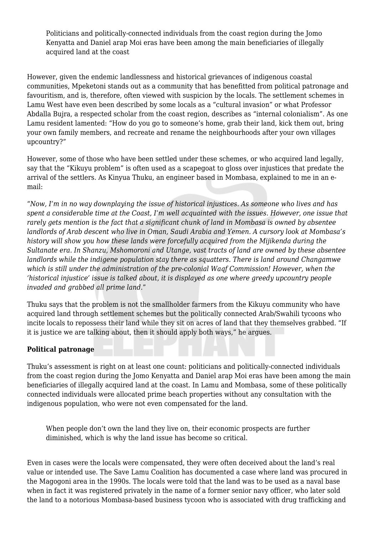Politicians and politically-connected individuals from the coast region during the Jomo Kenyatta and Daniel arap Moi eras have been among the main beneficiaries of illegally acquired land at the coast

However, given the endemic landlessness and historical grievances of indigenous coastal communities, Mpeketoni stands out as a community that has benefitted from political patronage and favouritism, and is, therefore, often viewed with suspicion by the locals. The settlement schemes in Lamu West have even been described by some locals as a "cultural invasion" or what Professor Abdalla Bujra, a respected scholar from the coast region, describes as "internal colonialism". As one Lamu resident lamented: "How do you go to someone's home, grab their land, kick them out, bring your own family members, and recreate and rename the neighbourhoods after your own villages upcountry?"

However, some of those who have been settled under these schemes, or who acquired land legally, say that the "Kikuyu problem" is often used as a scapegoat to gloss over injustices that predate the arrival of the settlers. As Kinyua Thuku, an engineer based in Mombasa, explained to me in an email:

"*Now, I'm in no way downplaying the issue of historical injustices. As someone who lives and has spent a considerable time at the Coast, I'm well acquainted with the issues. However, one issue that rarely gets mention is the fact that a significant chunk of land in Mombasa is owned by absentee landlords of Arab descent who live in Oman, Saudi Arabia and Yemen. A cursory look at Mombasa's history will show you how these lands were forcefully acquired from the Mijikenda during the Sultanate era. In Shanzu, Mshomoroni and Utange, vast tracts of land are owned by these absentee landlords while the indigene population stay there as squatters. There is land around Changamwe which is still under the administration of the pre-colonial Waqf Commission! However, when the 'historical injustice' issue is talked about, it is displayed as one where greedy upcountry people invaded and grabbed all prime land.*"

Thuku says that the problem is not the smallholder farmers from the Kikuyu community who have acquired land through settlement schemes but the politically connected Arab/Swahili tycoons who incite locals to repossess their land while they sit on acres of land that they themselves grabbed. "If it is justice we are talking about, then it should apply both ways," he argues.

## **Political patronage**

Thuku's assessment is right on at least one count: politicians and politically-connected individuals from the coast region during the Jomo Kenyatta and Daniel arap Moi eras have been among the main beneficiaries of illegally acquired land at the coast. In Lamu and Mombasa, some of these politically connected individuals were allocated prime beach properties without any consultation with the indigenous population, who were not even compensated for the land.

When people don't own the land they live on, their economic prospects are further diminished, which is why the land issue has become so critical.

Even in cases were the locals were compensated, they were often deceived about the land's real value or intended use. The Save Lamu Coalition has documented a case where land was procured in the Magogoni area in the 1990s. The locals were told that the land was to be used as a naval base when in fact it was registered privately in the name of a former senior navy officer, who later sold the land to a notorious Mombasa-based business tycoon who is associated with drug trafficking and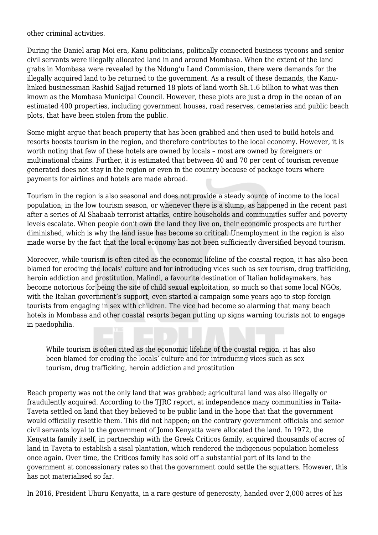other criminal activities.

During the Daniel arap Moi era, Kanu politicians, politically connected business tycoons and senior civil servants were illegally allocated land in and around Mombasa. When the extent of the land grabs in Mombasa were revealed by the Ndung'u Land Commission, there were demands for the illegally acquired land to be returned to the government. As a result of these demands, the Kanulinked businessman Rashid Sajjad returned 18 plots of land worth Sh.1.6 billion to what was then known as the Mombasa Municipal Council. However, these plots are just a drop in the ocean of an estimated 400 properties, including government houses, road reserves, cemeteries and public beach plots, that have been stolen from the public.

Some might argue that beach property that has been grabbed and then used to build hotels and resorts boosts tourism in the region, and therefore contributes to the local economy. However, it is worth noting that few of these hotels are owned by locals – most are owned by foreigners or multinational chains. Further, it is estimated that between 40 and 70 per cent of tourism revenue generated does not stay in the region or even in the country because of package tours where payments for airlines and hotels are made abroad.

Tourism in the region is also seasonal and does not provide a steady source of income to the local population; in the low tourism season, or whenever there is a slump, as happened in the recent past after a series of Al Shabaab terrorist attacks, entire households and communities suffer and poverty levels escalate. When people don't own the land they live on, their economic prospects are further diminished, which is why the land issue has become so critical. Unemployment in the region is also made worse by the fact that the local economy has not been sufficiently diversified beyond tourism.

Moreover, while tourism is often cited as the economic lifeline of the coastal region, it has also been blamed for eroding the locals' culture and for introducing vices such as sex tourism, drug trafficking, heroin addiction and prostitution. Malindi, a favourite destination of Italian holidaymakers, has become notorious for being the site of child sexual exploitation, so much so that some local NGOs, with the Italian government's support, even started a campaign some years ago to stop foreign tourists from engaging in sex with children. The vice had become so alarming that many beach hotels in Mombasa and other coastal resorts began putting up signs warning tourists not to engage in paedophilia.

While tourism is often cited as the economic lifeline of the coastal region, it has also been blamed for eroding the locals' culture and for introducing vices such as sex tourism, drug trafficking, heroin addiction and prostitution

Beach property was not the only land that was grabbed; agricultural land was also illegally or fraudulently acquired. According to the TJRC report, at independence many communities in Taita-Taveta settled on land that they believed to be public land in the hope that that the government would officially resettle them. This did not happen; on the contrary government officials and senior civil servants loyal to the government of Jomo Kenyatta were allocated the land. In 1972, the Kenyatta family itself, in partnership with the Greek Criticos family, acquired thousands of acres of land in Taveta to establish a sisal plantation, which rendered the indigenous population homeless once again. Over time, the Criticos family has sold off a substantial part of its land to the government at concessionary rates so that the government could settle the squatters. However, this has not materialised so far.

In 2016, President Uhuru Kenyatta, in a rare gesture of generosity, handed over 2,000 acres of his